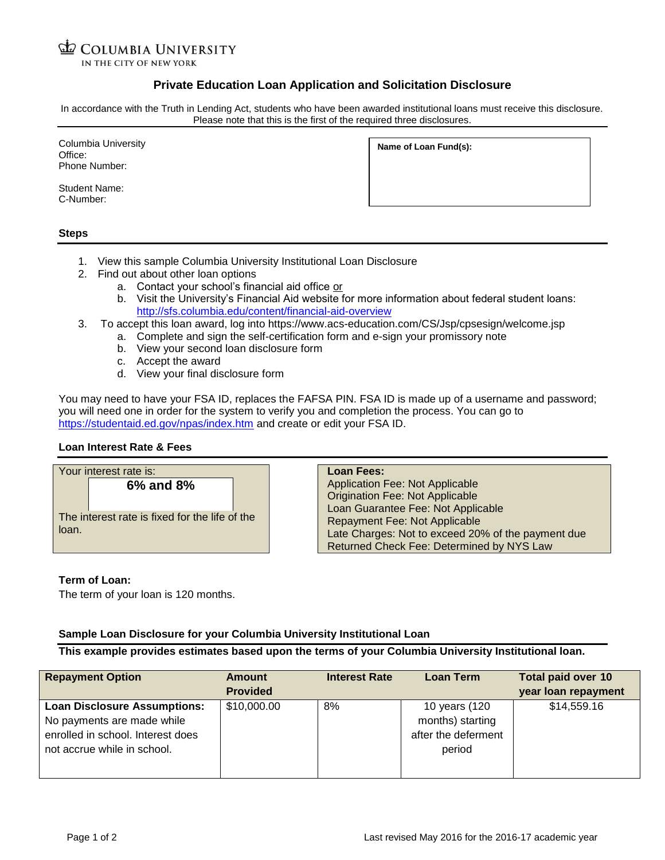# **COLUMBIA UNIVERSITY**

IN THE CITY OF NEW YORK

## **Private Education Loan Application and Solicitation Disclosure**

In accordance with the Truth in Lending Act, students who have been awarded institutional loans must receive this disclosure. Please note that this is the first of the required three disclosures.

Columbia University Office: Phone Number:

Student Name: C-Number:

| Name of Loan Fund(s): |
|-----------------------|
|                       |

### **Steps**

- 1. View this sample Columbia University Institutional Loan Disclosure
- 2. Find out about other loan options
	- a. Contact your school's financial aid office or
	- b. Visit the University's Financial Aid website for more information about federal student loans: <http://sfs.columbia.edu/content/financial-aid-overview>
- 3. To accept this loan award, log into https://www.acs-education.com/CS/Jsp/cpsesign/welcome.jsp
	- a. Complete and sign the self-certification form and e-sign your promissory note
		- b. View your second loan disclosure form
		- c. Accept the award
		- d. View your final disclosure form

You may need to have your FSA ID, replaces the FAFSA PIN. FSA ID is made up of a username and password; you will need one in order for the system to verify you and completion the process. You can go to <https://studentaid.ed.gov/npas/index.htm> and create or edit your FSA ID.

### **Loan Interest Rate & Fees**

| Your interest rate is: |                                                             | Loan Fees:                                                                                                                                                                                                                                                        |
|------------------------|-------------------------------------------------------------|-------------------------------------------------------------------------------------------------------------------------------------------------------------------------------------------------------------------------------------------------------------------|
| loan.                  | 6% and 8%<br>The interest rate is fixed for the life of the | <b>Application Fee: Not Applicable</b><br><b>Origination Fee: Not Applicable</b><br>Loan Guarantee Fee: Not Applicable<br><b>Repayment Fee: Not Applicable</b><br>Late Charges: Not to exceed 20% of the payment due<br>Returned Check Fee: Determined by NYS Law |

### **Term of Loan:**

The term of your loan is 120 months.

### **Sample Loan Disclosure for your Columbia University Institutional Loan**

**This example provides estimates based upon the terms of your Columbia University Institutional loan.**

| <b>Repayment Option</b>                                                                                                               | <b>Amount</b><br><b>Provided</b> | <b>Interest Rate</b> | <b>Loan Term</b>                                                   | <b>Total paid over 10</b><br>year loan repayment |
|---------------------------------------------------------------------------------------------------------------------------------------|----------------------------------|----------------------|--------------------------------------------------------------------|--------------------------------------------------|
| <b>Loan Disclosure Assumptions:</b><br>No payments are made while<br>enrolled in school. Interest does<br>not accrue while in school. | \$10,000.00                      | 8%                   | 10 years (120<br>months) starting<br>after the deferment<br>period | \$14,559.16                                      |